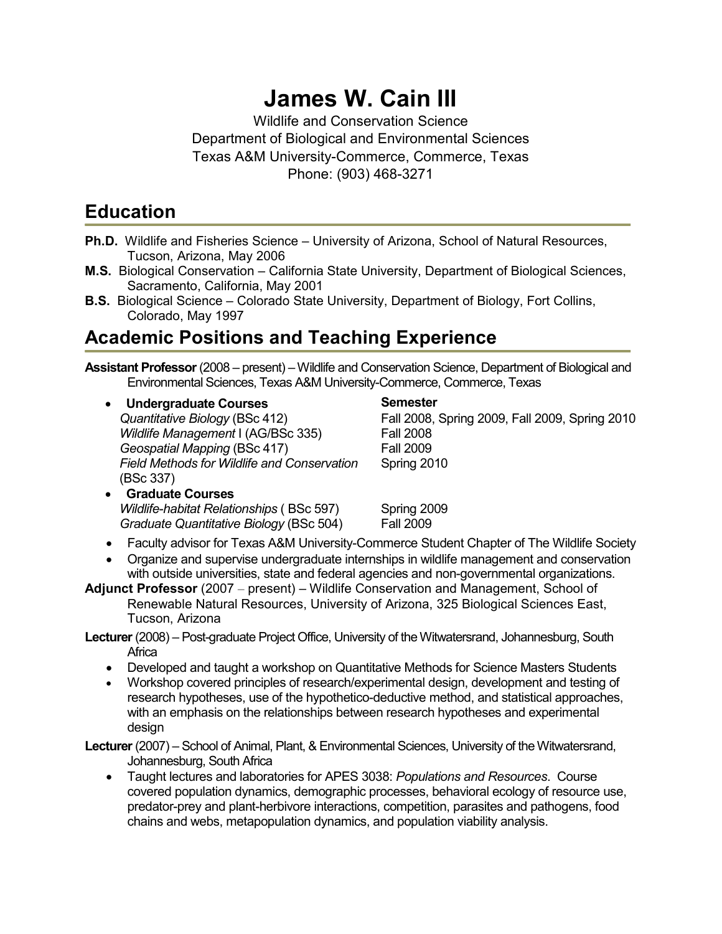# **James W. Cain III**

Wildlife and Conservation Science Department of Biological and Environmental Sciences Texas A&M University-Commerce, Commerce, Texas Phone: (903) 468-3271

## **Education**

- **Ph.D.** Wildlife and Fisheries Science University of Arizona, School of Natural Resources, Tucson, Arizona, May 2006
- **M.S.** Biological Conservation California State University, Department of Biological Sciences, Sacramento, California, May 2001
- **B.S.** Biological Science Colorado State University, Department of Biology, Fort Collins, Colorado, May 1997

## **Academic Positions and Teaching Experience**

**Assistant Professor** (2008 – present) – Wildlife and Conservation Science, Department of Biological and Environmental Sciences, Texas A&M University-Commerce, Commerce, Texas

• Undergraduate Courses **Semester** Semester *Wildlife Management* I (AG/BSc 335) Fall 2008 *Geospatial Mapping* (BSc 417) Fall 2009 *Field Methods for Wildlife and Conservation* (BSc 337)

*Quantitative Biology* (BSc 412) Fall 2008, Spring 2009, Fall 2009, Spring 2010 Spring 2010

• **Graduate Courses**  *Wildlife-habitat Relationships* (BSc 597) Spring 2009 *Graduate Quantitative Biology* (BSc 504) Fall 2009

- Faculty advisor for Texas A&M University-Commerce Student Chapter of The Wildlife Society
- Organize and supervise undergraduate internships in wildlife management and conservation with outside universities, state and federal agencies and non-governmental organizations.
- **Adjunct Professor** (2007 present) Wildlife Conservation and Management, School of Renewable Natural Resources, University of Arizona, 325 Biological Sciences East, Tucson, Arizona
- **Lecturer** (2008) Post-graduate Project Office, University of the Witwatersrand, Johannesburg, South **Africa** 
	- Developed and taught a workshop on Quantitative Methods for Science Masters Students
	- Workshop covered principles of research/experimental design, development and testing of research hypotheses, use of the hypothetico-deductive method, and statistical approaches, with an emphasis on the relationships between research hypotheses and experimental design

**Lecturer** (2007) – School of Animal, Plant, & Environmental Sciences, University of the Witwatersrand, Johannesburg, South Africa

• Taught lectures and laboratories for APES 3038: *Populations and Resources*. Course covered population dynamics, demographic processes, behavioral ecology of resource use, predator-prey and plant-herbivore interactions, competition, parasites and pathogens, food chains and webs, metapopulation dynamics, and population viability analysis.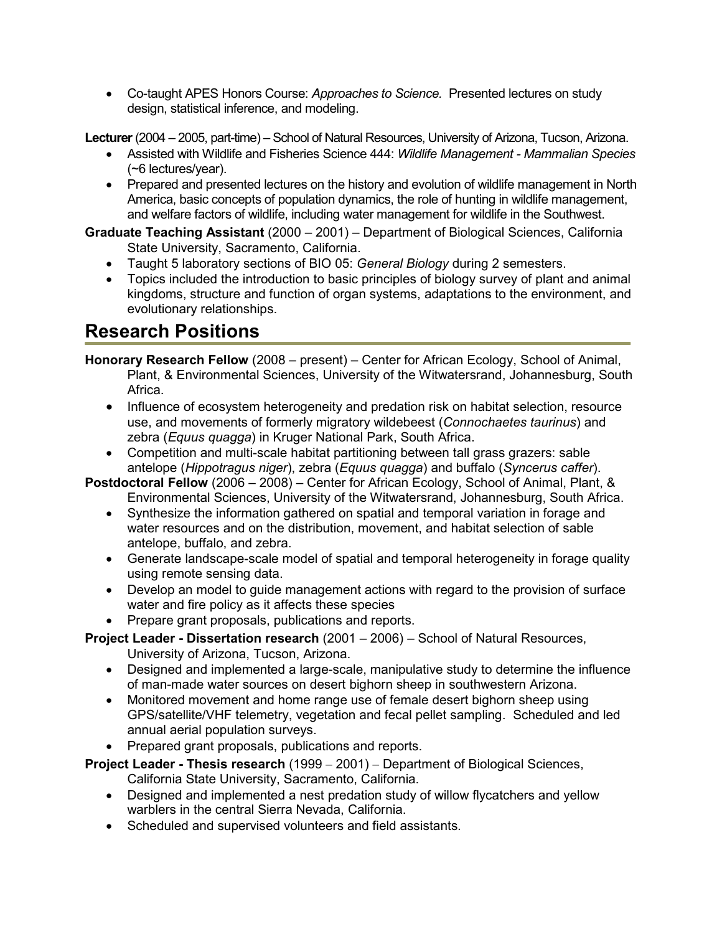• Co-taught APES Honors Course: *Approaches to Science.* Presented lectures on study design, statistical inference, and modeling.

**Lecturer** (2004 – 2005, part-time) – School of Natural Resources, University of Arizona, Tucson, Arizona.

- Assisted with Wildlife and Fisheries Science 444: *Wildlife Management Mammalian Species* (~6 lectures/year).
- Prepared and presented lectures on the history and evolution of wildlife management in North America, basic concepts of population dynamics, the role of hunting in wildlife management, and welfare factors of wildlife, including water management for wildlife in the Southwest.

**Graduate Teaching Assistant** (2000 – 2001) – Department of Biological Sciences, California State University, Sacramento, California.

- Taught 5 laboratory sections of BIO 05: *General Biology* during 2 semesters.
- Topics included the introduction to basic principles of biology survey of plant and animal kingdoms, structure and function of organ systems, adaptations to the environment, and evolutionary relationships.

## **Research Positions**

- **Honorary Research Fellow** (2008 present) Center for African Ecology, School of Animal, Plant, & Environmental Sciences, University of the Witwatersrand, Johannesburg, South Africa.
	- Influence of ecosystem heterogeneity and predation risk on habitat selection, resource use, and movements of formerly migratory wildebeest (*Connochaetes taurinus*) and zebra (*Equus quagga*) in Kruger National Park, South Africa.
	- Competition and multi-scale habitat partitioning between tall grass grazers: sable antelope (*Hippotragus niger*), zebra (*Equus quagga*) and buffalo (*Syncerus caffer*).

**Postdoctoral Fellow** (2006 – 2008) – Center for African Ecology, School of Animal, Plant, & Environmental Sciences, University of the Witwatersrand, Johannesburg, South Africa.

- Synthesize the information gathered on spatial and temporal variation in forage and water resources and on the distribution, movement, and habitat selection of sable antelope, buffalo, and zebra.
- Generate landscape-scale model of spatial and temporal heterogeneity in forage quality using remote sensing data.
- Develop an model to guide management actions with regard to the provision of surface water and fire policy as it affects these species
- Prepare grant proposals, publications and reports.

**Project Leader - Dissertation research** (2001 – 2006) – School of Natural Resources, University of Arizona, Tucson, Arizona.

- Designed and implemented a large-scale, manipulative study to determine the influence of man-made water sources on desert bighorn sheep in southwestern Arizona.
- Monitored movement and home range use of female desert bighorn sheep using GPS/satellite/VHF telemetry, vegetation and fecal pellet sampling. Scheduled and led annual aerial population surveys.
- Prepared grant proposals, publications and reports.

**Project Leader - Thesis research** (1999 – 2001) – Department of Biological Sciences, California State University, Sacramento, California.

- Designed and implemented a nest predation study of willow flycatchers and yellow warblers in the central Sierra Nevada, California.
- Scheduled and supervised volunteers and field assistants.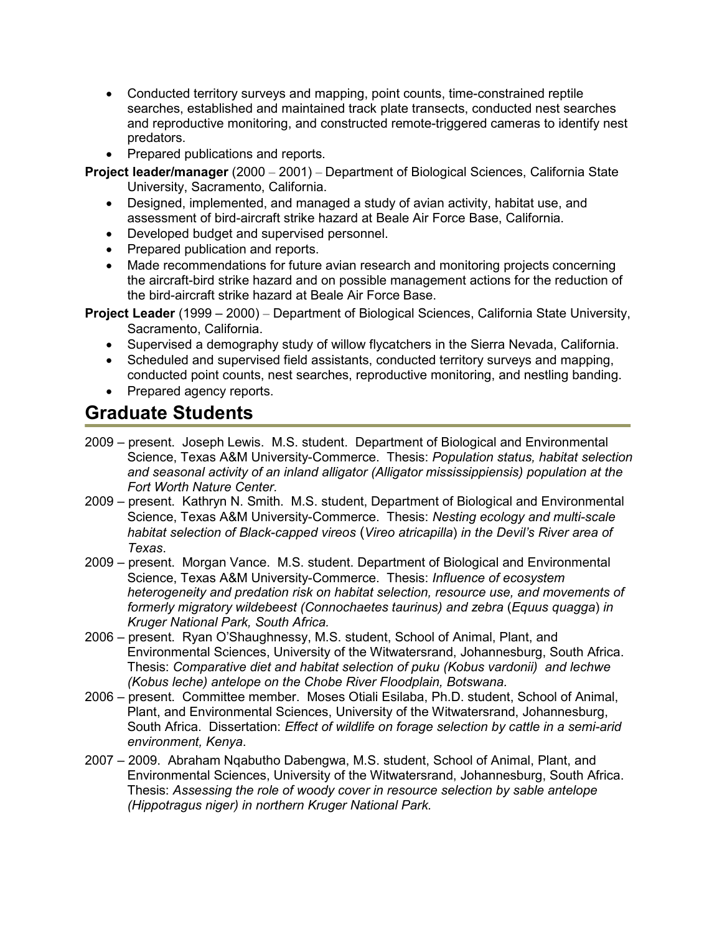- Conducted territory surveys and mapping, point counts, time-constrained reptile searches, established and maintained track plate transects, conducted nest searches and reproductive monitoring, and constructed remote-triggered cameras to identify nest predators.
- Prepared publications and reports.

**Project leader/manager** (2000 – 2001) – Department of Biological Sciences, California State University, Sacramento, California.

- Designed, implemented, and managed a study of avian activity, habitat use, and assessment of bird-aircraft strike hazard at Beale Air Force Base, California.
- Developed budget and supervised personnel.
- Prepared publication and reports.
- Made recommendations for future avian research and monitoring projects concerning the aircraft-bird strike hazard and on possible management actions for the reduction of the bird-aircraft strike hazard at Beale Air Force Base.

**Project Leader** (1999 – 2000) – Department of Biological Sciences, California State University, Sacramento, California.

- Supervised a demography study of willow flycatchers in the Sierra Nevada, California.
- Scheduled and supervised field assistants, conducted territory surveys and mapping, conducted point counts, nest searches, reproductive monitoring, and nestling banding.
- Prepared agency reports.

## **Graduate Students**

- 2009 present. Joseph Lewis. M.S. student. Department of Biological and Environmental Science, Texas A&M University-Commerce. Thesis: *Population status, habitat selection and seasonal activity of an inland alligator (Alligator mississippiensis) population at the Fort Worth Nature Center.*
- 2009 present. Kathryn N. Smith. M.S. student, Department of Biological and Environmental Science, Texas A&M University-Commerce. Thesis: *Nesting ecology and multi-scale habitat selection of Black-capped vireos* (*Vireo atricapilla*) *in the Devil's River area of Texas*.
- 2009 present. Morgan Vance. M.S. student. Department of Biological and Environmental Science, Texas A&M University-Commerce. Thesis: *Influence of ecosystem heterogeneity and predation risk on habitat selection, resource use, and movements of formerly migratory wildebeest (Connochaetes taurinus) and zebra (Equus quagga) in Kruger National Park, South Africa.*
- 2006 present. Ryan O'Shaughnessy, M.S. student, School of Animal, Plant, and Environmental Sciences, University of the Witwatersrand, Johannesburg, South Africa. Thesis: *Comparative diet and habitat selection of puku (Kobus vardonii) and lechwe (Kobus leche) antelope on the Chobe River Floodplain, Botswana.*
- 2006 present. Committee member. Moses Otiali Esilaba, Ph.D. student, School of Animal, Plant, and Environmental Sciences, University of the Witwatersrand, Johannesburg, South Africa. Dissertation: *Effect of wildlife on forage selection by cattle in a semi-arid environment, Kenya*.
- 2007 2009. Abraham Nqabutho Dabengwa, M.S. student, School of Animal, Plant, and Environmental Sciences, University of the Witwatersrand, Johannesburg, South Africa. Thesis: *Assessing the role of woody cover in resource selection by sable antelope (Hippotragus niger) in northern Kruger National Park.*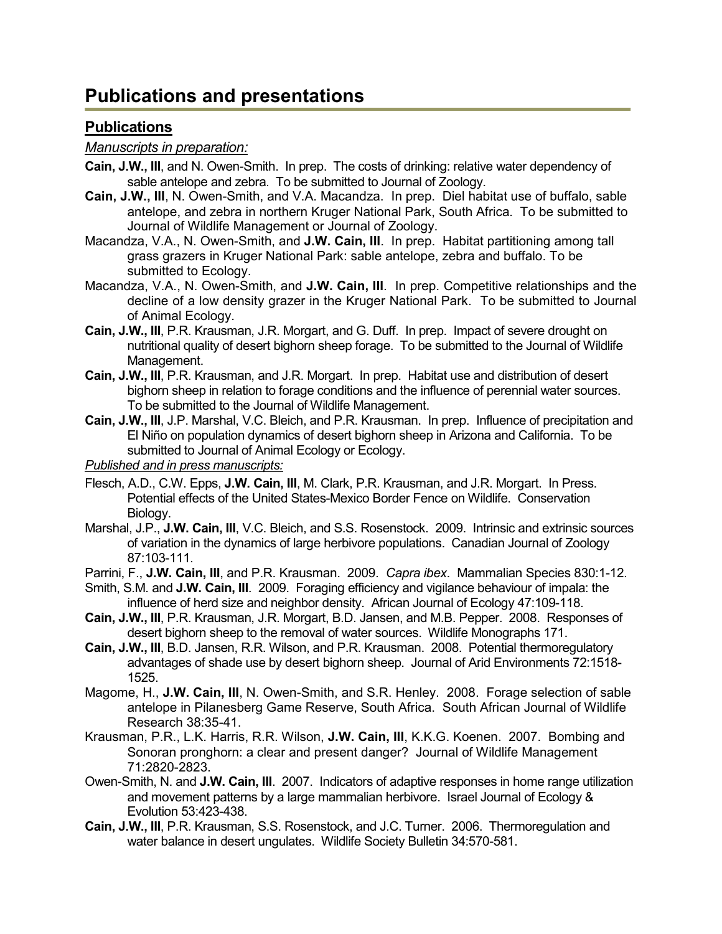## **Publications and presentations**

#### **Publications**

#### *Manuscripts in preparation:*

- **Cain, J.W., III**, and N. Owen-Smith. In prep. The costs of drinking: relative water dependency of sable antelope and zebra. To be submitted to Journal of Zoology.
- **Cain, J.W., III**, N. Owen-Smith, and V.A. Macandza. In prep. Diel habitat use of buffalo, sable antelope, and zebra in northern Kruger National Park, South Africa. To be submitted to Journal of Wildlife Management or Journal of Zoology.
- Macandza, V.A., N. Owen-Smith, and **J.W. Cain, III**. In prep. Habitat partitioning among tall grass grazers in Kruger National Park: sable antelope, zebra and buffalo. To be submitted to Ecology.
- Macandza, V.A., N. Owen-Smith, and **J.W. Cain, III**. In prep. Competitive relationships and the decline of a low density grazer in the Kruger National Park. To be submitted to Journal of Animal Ecology.
- **Cain, J.W., III**, P.R. Krausman, J.R. Morgart, and G. Duff. In prep. Impact of severe drought on nutritional quality of desert bighorn sheep forage. To be submitted to the Journal of Wildlife Management.
- **Cain, J.W., III**, P.R. Krausman, and J.R. Morgart. In prep. Habitat use and distribution of desert bighorn sheep in relation to forage conditions and the influence of perennial water sources. To be submitted to the Journal of Wildlife Management.
- **Cain, J.W., III**, J.P. Marshal, V.C. Bleich, and P.R. Krausman. In prep. Influence of precipitation and El Niño on population dynamics of desert bighorn sheep in Arizona and California. To be submitted to Journal of Animal Ecology or Ecology.

*Published and in press manuscripts:* 

- Flesch, A.D., C.W. Epps, **J.W. Cain, III**, M. Clark, P.R. Krausman, and J.R. Morgart. In Press. Potential effects of the United States-Mexico Border Fence on Wildlife. Conservation Biology.
- Marshal, J.P., **J.W. Cain, III**, V.C. Bleich, and S.S. Rosenstock. 2009. Intrinsic and extrinsic sources of variation in the dynamics of large herbivore populations. Canadian Journal of Zoology 87:103-111.
- Parrini, F., **J.W. Cain, III**, and P.R. Krausman. 2009. *Capra ibex*. Mammalian Species 830:1-12.
- Smith, S.M. and **J.W. Cain, III**. 2009. Foraging efficiency and vigilance behaviour of impala: the influence of herd size and neighbor density. African Journal of Ecology 47:109-118.
- **Cain, J.W., III**, P.R. Krausman, J.R. Morgart, B.D. Jansen, and M.B. Pepper. 2008. Responses of desert bighorn sheep to the removal of water sources. Wildlife Monographs 171.
- **Cain, J.W., III**, B.D. Jansen, R.R. Wilson, and P.R. Krausman. 2008. Potential thermoregulatory advantages of shade use by desert bighorn sheep. Journal of Arid Environments 72:1518- 1525.
- Magome, H., **J.W. Cain, III**, N. Owen-Smith, and S.R. Henley. 2008. Forage selection of sable antelope in Pilanesberg Game Reserve, South Africa. South African Journal of Wildlife Research 38:35-41.
- Krausman, P.R., L.K. Harris, R.R. Wilson, **J.W. Cain, III**, K.K.G. Koenen. 2007. Bombing and Sonoran pronghorn: a clear and present danger? Journal of Wildlife Management 71:2820-2823.
- Owen-Smith, N. and **J.W. Cain, III**. 2007. Indicators of adaptive responses in home range utilization and movement patterns by a large mammalian herbivore. Israel Journal of Ecology & Evolution 53:423-438.
- **Cain, J.W., III**, P.R. Krausman, S.S. Rosenstock, and J.C. Turner. 2006. Thermoregulation and water balance in desert ungulates. Wildlife Society Bulletin 34:570-581.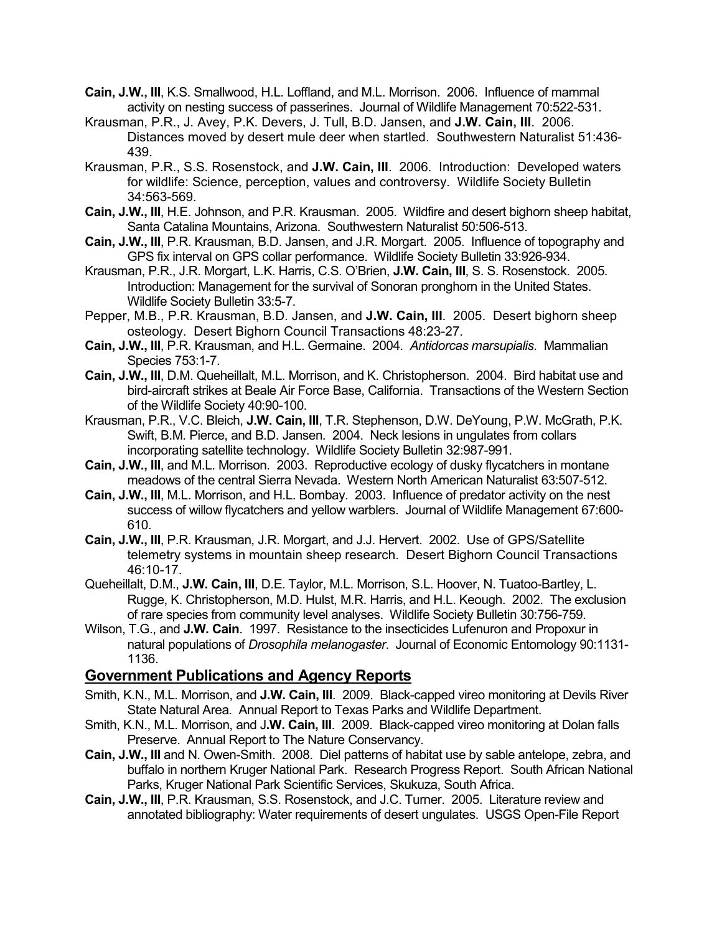- **Cain, J.W., III**, K.S. Smallwood, H.L. Loffland, and M.L. Morrison. 2006. Influence of mammal activity on nesting success of passerines. Journal of Wildlife Management 70:522-531.
- Krausman, P.R., J. Avey, P.K. Devers, J. Tull, B.D. Jansen, and **J.W. Cain, III**. 2006. Distances moved by desert mule deer when startled. Southwestern Naturalist 51:436- 439.
- Krausman, P.R., S.S. Rosenstock, and **J.W. Cain, III**. 2006. Introduction: Developed waters for wildlife: Science, perception, values and controversy. Wildlife Society Bulletin 34:563-569.
- **Cain, J.W., III**, H.E. Johnson, and P.R. Krausman. 2005. Wildfire and desert bighorn sheep habitat, Santa Catalina Mountains, Arizona. Southwestern Naturalist 50:506-513.
- **Cain, J.W., III**, P.R. Krausman, B.D. Jansen, and J.R. Morgart. 2005. Influence of topography and GPS fix interval on GPS collar performance. Wildlife Society Bulletin 33:926-934.
- Krausman, P.R., J.R. Morgart, L.K. Harris, C.S. O'Brien, **J.W. Cain, III**, S. S. Rosenstock. 2005. Introduction: Management for the survival of Sonoran pronghorn in the United States. Wildlife Society Bulletin 33:5-7.
- Pepper, M.B., P.R. Krausman, B.D. Jansen, and **J.W. Cain, III**. 2005. Desert bighorn sheep osteology. Desert Bighorn Council Transactions 48:23-27.
- **Cain, J.W., III**, P.R. Krausman, and H.L. Germaine. 2004. *Antidorcas marsupialis*. Mammalian Species 753:1-7.
- **Cain, J.W., III**, D.M. Queheillalt, M.L. Morrison, and K. Christopherson. 2004. Bird habitat use and bird-aircraft strikes at Beale Air Force Base, California. Transactions of the Western Section of the Wildlife Society 40:90-100.
- Krausman, P.R., V.C. Bleich, **J.W. Cain, III**, T.R. Stephenson, D.W. DeYoung, P.W. McGrath, P.K. Swift, B.M. Pierce, and B.D. Jansen. 2004. Neck lesions in ungulates from collars incorporating satellite technology. Wildlife Society Bulletin 32:987-991.
- **Cain, J.W., III**, and M.L. Morrison. 2003. Reproductive ecology of dusky flycatchers in montane meadows of the central Sierra Nevada. Western North American Naturalist 63:507-512.
- **Cain, J.W., III**, M.L. Morrison, and H.L. Bombay. 2003. Influence of predator activity on the nest success of willow flycatchers and yellow warblers. Journal of Wildlife Management 67:600- 610.
- **Cain, J.W., III**, P.R. Krausman, J.R. Morgart, and J.J. Hervert. 2002. Use of GPS/Satellite telemetry systems in mountain sheep research. Desert Bighorn Council Transactions 46:10-17.
- Queheillalt, D.M., **J.W. Cain, III**, D.E. Taylor, M.L. Morrison, S.L. Hoover, N. Tuatoo-Bartley, L. Rugge, K. Christopherson, M.D. Hulst, M.R. Harris, and H.L. Keough. 2002. The exclusion of rare species from community level analyses. Wildlife Society Bulletin 30:756-759.
- Wilson, T.G., and **J.W. Cain**. 1997. Resistance to the insecticides Lufenuron and Propoxur in natural populations of *Drosophila melanogaster*. Journal of Economic Entomology 90:1131- 1136.

#### **Government Publications and Agency Reports**

- Smith, K.N., M.L. Morrison, and **J.W. Cain, III**. 2009. Black-capped vireo monitoring at Devils River State Natural Area. Annual Report to Texas Parks and Wildlife Department.
- Smith, K.N., M.L. Morrison, and J**.W. Cain, III**. 2009. Black-capped vireo monitoring at Dolan falls Preserve. Annual Report to The Nature Conservancy.
- **Cain, J.W., III** and N. Owen-Smith. 2008. Diel patterns of habitat use by sable antelope, zebra, and buffalo in northern Kruger National Park. Research Progress Report. South African National Parks, Kruger National Park Scientific Services, Skukuza, South Africa.
- **Cain, J.W., III**, P.R. Krausman, S.S. Rosenstock, and J.C. Turner. 2005. Literature review and annotated bibliography: Water requirements of desert ungulates. USGS Open-File Report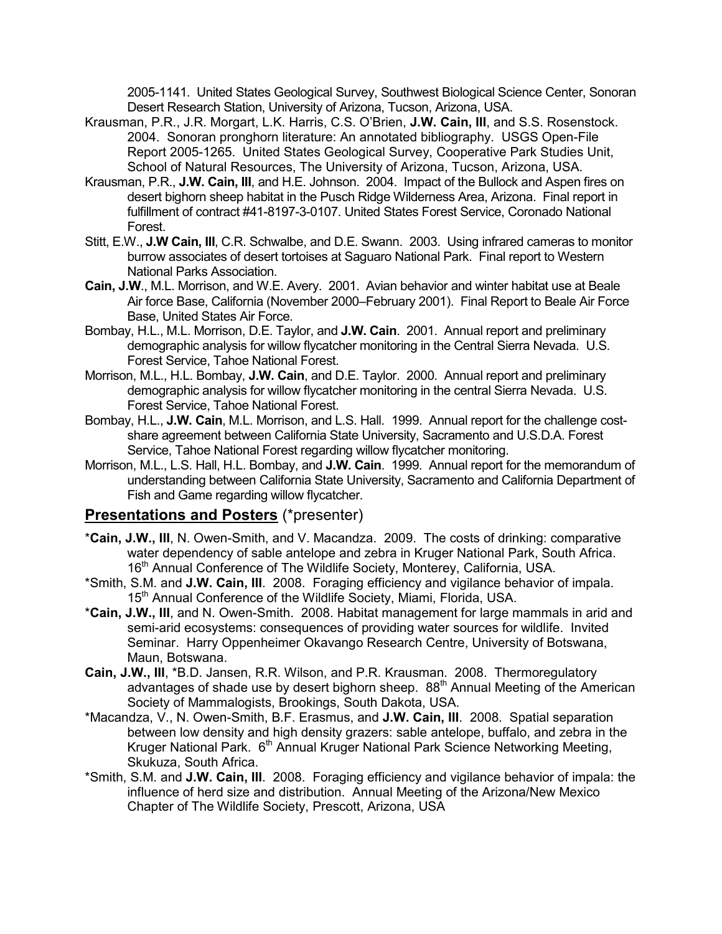2005-1141. United States Geological Survey, Southwest Biological Science Center, Sonoran Desert Research Station, University of Arizona, Tucson, Arizona, USA.

- Krausman, P.R., J.R. Morgart, L.K. Harris, C.S. O'Brien, **J.W. Cain, III**, and S.S. Rosenstock. 2004. Sonoran pronghorn literature: An annotated bibliography. USGS Open-File Report 2005-1265. United States Geological Survey, Cooperative Park Studies Unit, School of Natural Resources, The University of Arizona, Tucson, Arizona, USA.
- Krausman, P.R., **J.W. Cain, III**, and H.E. Johnson. 2004. Impact of the Bullock and Aspen fires on desert bighorn sheep habitat in the Pusch Ridge Wilderness Area, Arizona. Final report in fulfillment of contract #41-8197-3-0107. United States Forest Service, Coronado National Forest.
- Stitt, E.W., **J.W Cain, III**, C.R. Schwalbe, and D.E. Swann. 2003. Using infrared cameras to monitor burrow associates of desert tortoises at Saguaro National Park. Final report to Western National Parks Association.
- **Cain, J.W**., M.L. Morrison, and W.E. Avery. 2001. Avian behavior and winter habitat use at Beale Air force Base, California (November 2000–February 2001). Final Report to Beale Air Force Base, United States Air Force.
- Bombay, H.L., M.L. Morrison, D.E. Taylor, and **J.W. Cain**. 2001. Annual report and preliminary demographic analysis for willow flycatcher monitoring in the Central Sierra Nevada. U.S. Forest Service, Tahoe National Forest.
- Morrison, M.L., H.L. Bombay, **J.W. Cain**, and D.E. Taylor. 2000. Annual report and preliminary demographic analysis for willow flycatcher monitoring in the central Sierra Nevada. U.S. Forest Service, Tahoe National Forest.
- Bombay, H.L., **J.W. Cain**, M.L. Morrison, and L.S. Hall. 1999. Annual report for the challenge costshare agreement between California State University, Sacramento and U.S.D.A. Forest Service, Tahoe National Forest regarding willow flycatcher monitoring.
- Morrison, M.L., L.S. Hall, H.L. Bombay, and **J.W. Cain**. 1999. Annual report for the memorandum of understanding between California State University, Sacramento and California Department of Fish and Game regarding willow flycatcher.

#### **Presentations and Posters** (\*presenter)

- \***Cain, J.W., III**, N. Owen-Smith, and V. Macandza. 2009. The costs of drinking: comparative water dependency of sable antelope and zebra in Kruger National Park, South Africa. 16<sup>th</sup> Annual Conference of The Wildlife Society, Monterey, California, USA.
- \*Smith, S.M. and **J.W. Cain, III**. 2008. Foraging efficiency and vigilance behavior of impala. 15<sup>th</sup> Annual Conference of the Wildlife Society, Miami, Florida, USA.
- \***Cain, J.W., III**, and N. Owen-Smith. 2008. Habitat management for large mammals in arid and semi-arid ecosystems: consequences of providing water sources for wildlife. Invited Seminar. Harry Oppenheimer Okavango Research Centre, University of Botswana, Maun, Botswana.
- **Cain, J.W., III**, \*B.D. Jansen, R.R. Wilson, and P.R. Krausman. 2008. Thermoregulatory advantages of shade use by desert bighorn sheep. 88<sup>th</sup> Annual Meeting of the American Society of Mammalogists, Brookings, South Dakota, USA.
- \*Macandza, V., N. Owen-Smith, B.F. Erasmus, and **J.W. Cain, III**. 2008. Spatial separation between low density and high density grazers: sable antelope, buffalo, and zebra in the Kruger National Park. 6<sup>th</sup> Annual Kruger National Park Science Networking Meeting, Skukuza, South Africa.
- \*Smith, S.M. and **J.W. Cain, III**. 2008. Foraging efficiency and vigilance behavior of impala: the influence of herd size and distribution. Annual Meeting of the Arizona/New Mexico Chapter of The Wildlife Society, Prescott, Arizona, USA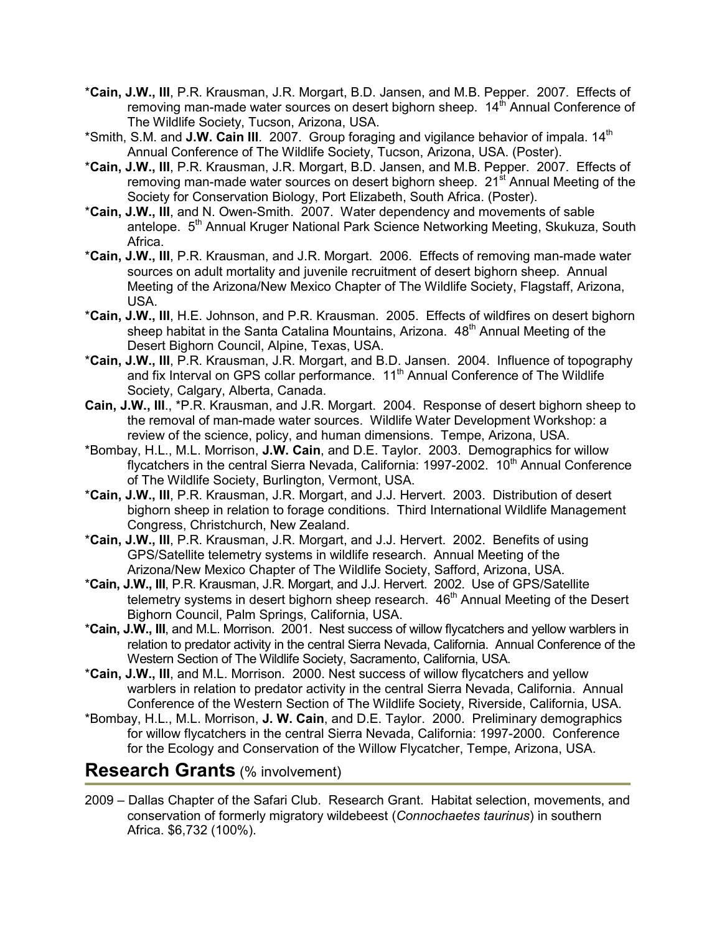- \***Cain, J.W., III**, P.R. Krausman, J.R. Morgart, B.D. Jansen, and M.B. Pepper. 2007. Effects of removing man-made water sources on desert bighorn sheep.  $14<sup>th</sup>$  Annual Conference of The Wildlife Society, Tucson, Arizona, USA.
- \*Smith, S.M. and J.W. Cain III. 2007. Group foraging and vigilance behavior of impala. 14<sup>th</sup> Annual Conference of The Wildlife Society, Tucson, Arizona, USA. (Poster).
- \***Cain, J.W., III**, P.R. Krausman, J.R. Morgart, B.D. Jansen, and M.B. Pepper. 2007. Effects of removing man-made water sources on desert bighorn sheep. 21<sup>st</sup> Annual Meeting of the Society for Conservation Biology, Port Elizabeth, South Africa. (Poster).
- \***Cain, J.W., III**, and N. Owen-Smith. 2007. Water dependency and movements of sable antelope. 5<sup>th</sup> Annual Kruger National Park Science Networking Meeting, Skukuza, South Africa.
- \***Cain, J.W., III**, P.R. Krausman, and J.R. Morgart. 2006. Effects of removing man-made water sources on adult mortality and juvenile recruitment of desert bighorn sheep. Annual Meeting of the Arizona/New Mexico Chapter of The Wildlife Society, Flagstaff, Arizona, USA.
- \***Cain, J.W., III**, H.E. Johnson, and P.R. Krausman. 2005. Effects of wildfires on desert bighorn sheep habitat in the Santa Catalina Mountains, Arizona.  $48<sup>th</sup>$  Annual Meeting of the Desert Bighorn Council, Alpine, Texas, USA.
- \***Cain, J.W., III**, P.R. Krausman, J.R. Morgart, and B.D. Jansen. 2004. Influence of topography and fix Interval on GPS collar performance. 11<sup>th</sup> Annual Conference of The Wildlife Society, Calgary, Alberta, Canada.
- **Cain, J.W., III**., \*P.R. Krausman, and J.R. Morgart. 2004. Response of desert bighorn sheep to the removal of man-made water sources. Wildlife Water Development Workshop: a review of the science, policy, and human dimensions. Tempe, Arizona, USA.
- \*Bombay, H.L., M.L. Morrison, **J.W. Cain**, and D.E. Taylor. 2003. Demographics for willow flycatchers in the central Sierra Nevada, California: 1997-2002.  $10<sup>th</sup>$  Annual Conference of The Wildlife Society, Burlington, Vermont, USA.
- \***Cain, J.W., III**, P.R. Krausman, J.R. Morgart, and J.J. Hervert. 2003. Distribution of desert bighorn sheep in relation to forage conditions. Third International Wildlife Management Congress, Christchurch, New Zealand.
- \***Cain, J.W., III**, P.R. Krausman, J.R. Morgart, and J.J. Hervert. 2002. Benefits of using GPS/Satellite telemetry systems in wildlife research. Annual Meeting of the Arizona/New Mexico Chapter of The Wildlife Society, Safford, Arizona, USA.
- \***Cain, J.W., III**, P.R. Krausman, J.R. Morgart, and J.J. Hervert. 2002. Use of GPS/Satellite telemetry systems in desert bighorn sheep research. 46<sup>th</sup> Annual Meeting of the Desert Bighorn Council, Palm Springs, California, USA.
- \***Cain, J.W., III**, and M.L. Morrison. 2001. Nest success of willow flycatchers and yellow warblers in relation to predator activity in the central Sierra Nevada, California. Annual Conference of the Western Section of The Wildlife Society, Sacramento, California, USA.
- \***Cain, J.W., III**, and M.L. Morrison. 2000. Nest success of willow flycatchers and yellow warblers in relation to predator activity in the central Sierra Nevada, California. Annual Conference of the Western Section of The Wildlife Society, Riverside, California, USA.
- \*Bombay, H.L., M.L. Morrison, **J. W. Cain**, and D.E. Taylor. 2000. Preliminary demographics for willow flycatchers in the central Sierra Nevada, California: 1997-2000. Conference for the Ecology and Conservation of the Willow Flycatcher, Tempe, Arizona, USA.

## **Research Grants** (% involvement)

2009 – Dallas Chapter of the Safari Club. Research Grant. Habitat selection, movements, and conservation of formerly migratory wildebeest (*Connochaetes taurinus*) in southern Africa. \$6,732 (100%).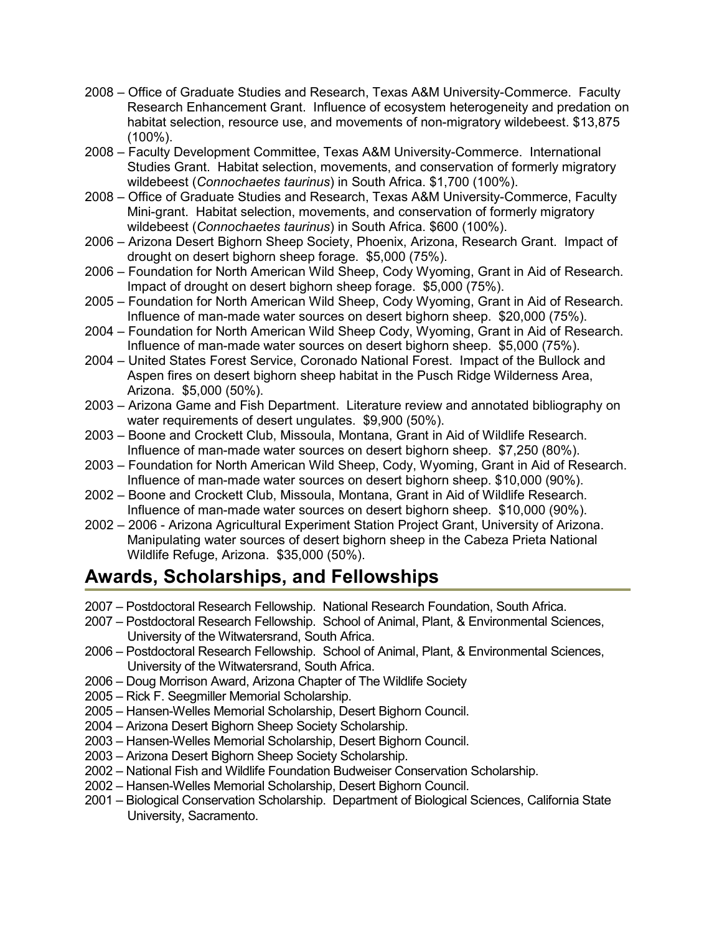- 2008 Office of Graduate Studies and Research, Texas A&M University-Commerce. Faculty Research Enhancement Grant. Influence of ecosystem heterogeneity and predation on habitat selection, resource use, and movements of non-migratory wildebeest. \$13,875 (100%).
- 2008 Faculty Development Committee, Texas A&M University-Commerce. International Studies Grant. Habitat selection, movements, and conservation of formerly migratory wildebeest (*Connochaetes taurinus*) in South Africa. \$1,700 (100%).
- 2008 Office of Graduate Studies and Research, Texas A&M University-Commerce, Faculty Mini-grant. Habitat selection, movements, and conservation of formerly migratory wildebeest (*Connochaetes taurinus*) in South Africa. \$600 (100%).
- 2006 Arizona Desert Bighorn Sheep Society, Phoenix, Arizona, Research Grant. Impact of drought on desert bighorn sheep forage. \$5,000 (75%).
- 2006 Foundation for North American Wild Sheep, Cody Wyoming, Grant in Aid of Research. Impact of drought on desert bighorn sheep forage. \$5,000 (75%).
- 2005 Foundation for North American Wild Sheep, Cody Wyoming, Grant in Aid of Research. Influence of man-made water sources on desert bighorn sheep. \$20,000 (75%).
- 2004 Foundation for North American Wild Sheep Cody, Wyoming, Grant in Aid of Research. Influence of man-made water sources on desert bighorn sheep. \$5,000 (75%).
- 2004 United States Forest Service, Coronado National Forest. Impact of the Bullock and Aspen fires on desert bighorn sheep habitat in the Pusch Ridge Wilderness Area, Arizona. \$5,000 (50%).
- 2003 Arizona Game and Fish Department. Literature review and annotated bibliography on water requirements of desert ungulates. \$9,900 (50%).
- 2003 Boone and Crockett Club, Missoula, Montana, Grant in Aid of Wildlife Research. Influence of man-made water sources on desert bighorn sheep. \$7,250 (80%).
- 2003 Foundation for North American Wild Sheep, Cody, Wyoming, Grant in Aid of Research. Influence of man-made water sources on desert bighorn sheep. \$10,000 (90%).
- 2002 Boone and Crockett Club, Missoula, Montana, Grant in Aid of Wildlife Research. Influence of man-made water sources on desert bighorn sheep. \$10,000 (90%).
- 2002 2006 Arizona Agricultural Experiment Station Project Grant, University of Arizona. Manipulating water sources of desert bighorn sheep in the Cabeza Prieta National Wildlife Refuge, Arizona. \$35,000 (50%).

## **Awards, Scholarships, and Fellowships**

- 2007 Postdoctoral Research Fellowship. National Research Foundation, South Africa.
- 2007 Postdoctoral Research Fellowship. School of Animal, Plant, & Environmental Sciences, University of the Witwatersrand, South Africa.
- 2006 Postdoctoral Research Fellowship. School of Animal, Plant, & Environmental Sciences, University of the Witwatersrand, South Africa.
- 2006 Doug Morrison Award, Arizona Chapter of The Wildlife Society
- 2005 Rick F. Seegmiller Memorial Scholarship.
- 2005 Hansen-Welles Memorial Scholarship, Desert Bighorn Council.
- 2004 Arizona Desert Bighorn Sheep Society Scholarship.
- 2003 Hansen-Welles Memorial Scholarship, Desert Bighorn Council.
- 2003 Arizona Desert Bighorn Sheep Society Scholarship.
- 2002 National Fish and Wildlife Foundation Budweiser Conservation Scholarship.
- 2002 Hansen-Welles Memorial Scholarship, Desert Bighorn Council.
- 2001 Biological Conservation Scholarship. Department of Biological Sciences, California State University, Sacramento.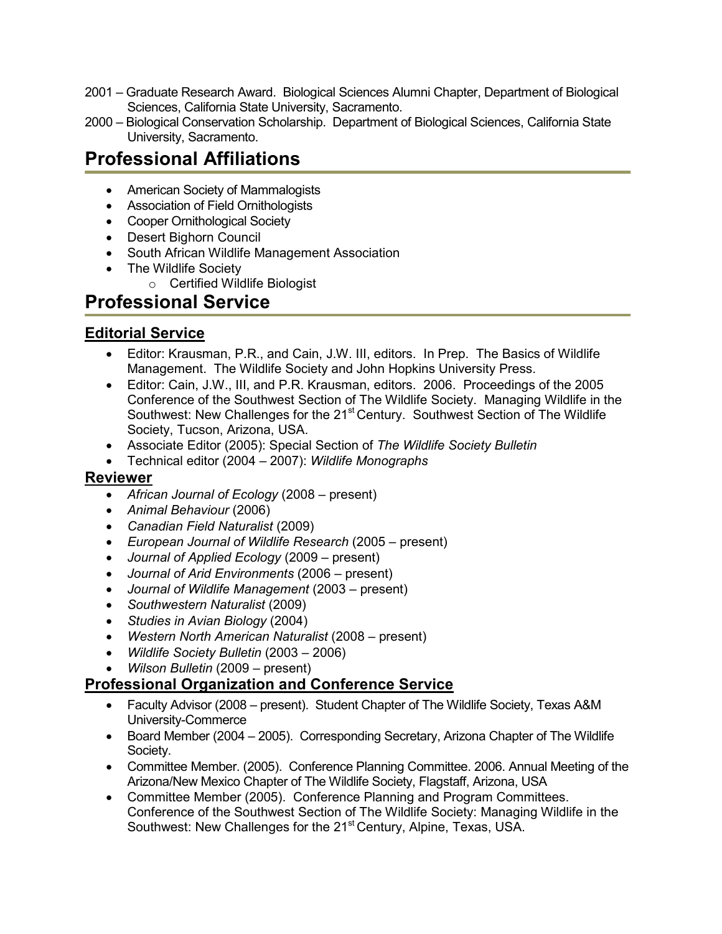- 2001 Graduate Research Award. Biological Sciences Alumni Chapter, Department of Biological Sciences, California State University, Sacramento.
- 2000 Biological Conservation Scholarship. Department of Biological Sciences, California State University, Sacramento.

## **Professional Affiliations**

- American Society of Mammalogists
- Association of Field Ornithologists
- Cooper Ornithological Society
- Desert Bighorn Council
- South African Wildlife Management Association
- The Wildlife Society
	- o Certified Wildlife Biologist

## **Professional Service**

### **Editorial Service**

- Editor: Krausman, P.R., and Cain, J.W. III, editors. In Prep. The Basics of Wildlife Management. The Wildlife Society and John Hopkins University Press.
- Editor: Cain, J.W., III, and P.R. Krausman, editors. 2006. Proceedings of the 2005 Conference of the Southwest Section of The Wildlife Society. Managing Wildlife in the Southwest: New Challenges for the 21<sup>st</sup> Century. Southwest Section of The Wildlife Society, Tucson, Arizona, USA.
- Associate Editor (2005): Special Section of *The Wildlife Society Bulletin*
- Technical editor (2004 2007): *Wildlife Monographs*

#### **Reviewer**

- *African Journal of Ecology* (2008 present)
- *Animal Behaviour* (2006)
- *Canadian Field Naturalist* (2009)
- *European Journal of Wildlife Research* (2005 present)
- *Journal of Applied Ecology* (2009 present)
- *Journal of Arid Environments* (2006 present)
- *Journal of Wildlife Management* (2003 present)
- *Southwestern Naturalist* (2009)
- *Studies in Avian Biology* (2004)
- *Western North American Naturalist* (2008 present)
- *Wildlife Society Bulletin* (2003 2006)
- *Wilson Bulletin* (2009 present)

#### **Professional Organization and Conference Service**

- Faculty Advisor (2008 present). Student Chapter of The Wildlife Society, Texas A&M University-Commerce
- Board Member (2004 2005). Corresponding Secretary, Arizona Chapter of The Wildlife Society.
- Committee Member. (2005). Conference Planning Committee. 2006. Annual Meeting of the Arizona/New Mexico Chapter of The Wildlife Society, Flagstaff, Arizona, USA
- Committee Member (2005). Conference Planning and Program Committees. Conference of the Southwest Section of The Wildlife Society: Managing Wildlife in the Southwest: New Challenges for the 21<sup>st</sup> Century, Alpine, Texas, USA.